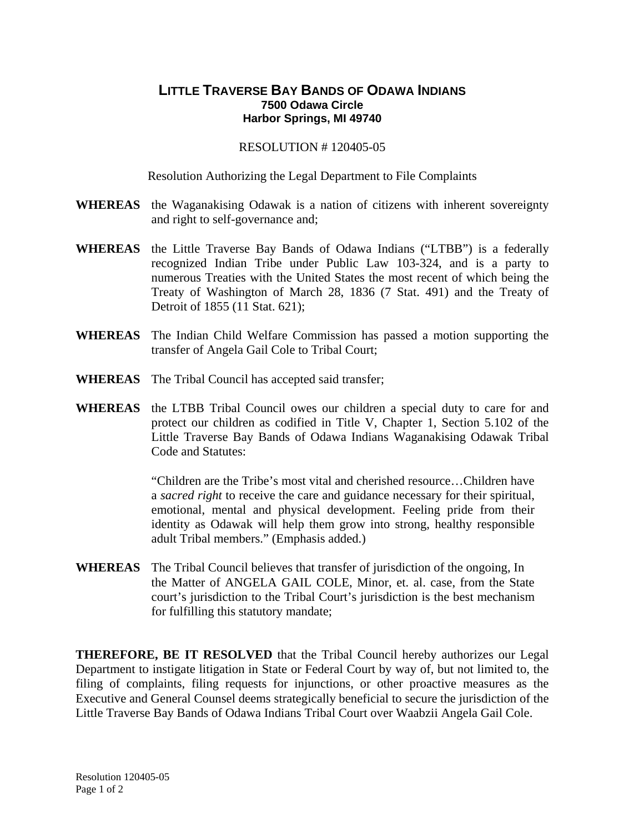## **LITTLE TRAVERSE BAY BANDS OF ODAWA INDIANS 7500 Odawa Circle Harbor Springs, MI 49740**

## RESOLUTION # 120405-05

## Resolution Authorizing the Legal Department to File Complaints

- **WHEREAS** the Waganakising Odawak is a nation of citizens with inherent sovereignty and right to self-governance and;
- **WHEREAS** the Little Traverse Bay Bands of Odawa Indians ("LTBB") is a federally recognized Indian Tribe under Public Law 103-324, and is a party to numerous Treaties with the United States the most recent of which being the Treaty of Washington of March 28, 1836 (7 Stat. 491) and the Treaty of Detroit of 1855 (11 Stat. 621);
- **WHEREAS** The Indian Child Welfare Commission has passed a motion supporting the transfer of Angela Gail Cole to Tribal Court;
- **WHEREAS** The Tribal Council has accepted said transfer;
- **WHEREAS** the LTBB Tribal Council owes our children a special duty to care for and protect our children as codified in Title V, Chapter 1, Section 5.102 of the Little Traverse Bay Bands of Odawa Indians Waganakising Odawak Tribal Code and Statutes:

"Children are the Tribe's most vital and cherished resource…Children have a *sacred right* to receive the care and guidance necessary for their spiritual, emotional, mental and physical development. Feeling pride from their identity as Odawak will help them grow into strong, healthy responsible adult Tribal members." (Emphasis added.)

**WHEREAS** The Tribal Council believes that transfer of jurisdiction of the ongoing, In the Matter of ANGELA GAIL COLE, Minor, et. al. case, from the State court's jurisdiction to the Tribal Court's jurisdiction is the best mechanism for fulfilling this statutory mandate;

**THEREFORE, BE IT RESOLVED** that the Tribal Council hereby authorizes our Legal Department to instigate litigation in State or Federal Court by way of, but not limited to, the filing of complaints, filing requests for injunctions, or other proactive measures as the Executive and General Counsel deems strategically beneficial to secure the jurisdiction of the Little Traverse Bay Bands of Odawa Indians Tribal Court over Waabzii Angela Gail Cole.